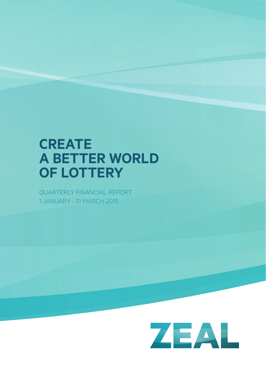# **cReate A BETTER WORLD OF LOTTERY**

QUARTERLY FINANCIAL REPORT 1 JANUARY – 31 MARCH 2015

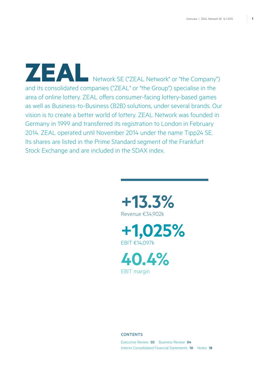ZEAL Network SE ("ZEAL Network" or "the Company") and its consolidated companies ("ZEAL" or "the Group") specialise in the area of online lottery. ZEAL offers consumer-facing lottery-based games as well as Business-to-Business (B2B) solutions, under several brands. Our vision is to create a better world of lottery. ZEAL Network was founded in Germany in 1999 and transferred its registration to London in February 2014. ZEAL operated until November 2014 under the name Tipp24 SE. Its shares are listed in the Prime Standard segment of the Frankfurt Stock Exchange and are included in the SDAX index.







### **CONTENTS**

Executive Review **03** Business Review **04** Interim Consolidated Financial Statements **10** Notes **18**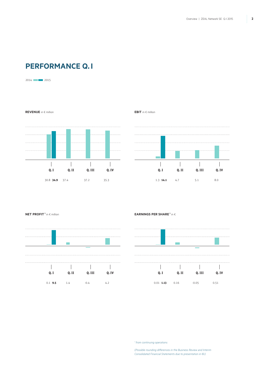# **Performance Q. I**

2014 2015

**REVENUE** in € million



**EBIT** in € million





**NET PROFIT<sup>1</sup> in € million EARNINGS PER SHARE<sup>1</sup> in €** 



*1 from continuing operations* 

*(Possible rounding differences in the Business Review and Interim Consolidated Financial Statements due to presentation in €k)*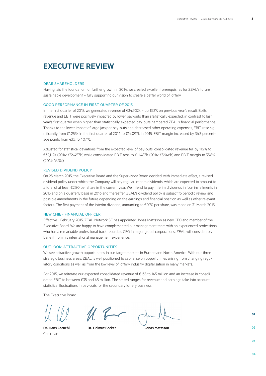# **Executive Review**

#### Dear Shareholders

Having laid the foundation for further growth in 2014, we created excellent prerequisites for ZEAL's future sustainable development – fully supporting our vision to create a better world of lottery.

#### Good performance in first quarter of 2015

In the first quarter of 2015, we generated revenue of €34,902k – up 13.3% on previous year's result. Both, revenue and EBIT were positively impacted by lower pay-outs than statistically expected, in contrast to last year's first quarter when higher than statistically expected pay-outs hampered ZEAL's financial performance. Thanks to the lower impact of large jackpot pay-outs and decreased other operating expenses, EBIT rose significantly from €1,253k in the first quarter of 2014 to €14,097k in 2015. EBIT margin increased by 36.3 percentage points from 4.1% to 40.4%.

Adjusted for statistical deviations from the expected level of pay-outs, consolidated revenue fell by 11.9% to €32,112k (2014: €36,457k) while consolidated EBIT rose to €11,483k (2014: €5,946k) and EBIT margin to 35.8% (2014: 16.3%).

### Revised dividend policy

On 25 March 2015, the Executive Board and the Supervisory Board decided, with immediate effect, a revised dividend policy under which the Company will pay regular interim dividends, which are expected to amount to a total of at least €2.80 per share in the current year. We intend to pay interim dividends in four installments in 2015 and on a quarterly basis in 2016 and thereafter. ZEAL's dividend policy is subject to periodic review and possible amendments in the future depending on the earnings and financial position as well as other relevant factors. The first payment of the interim dividend, amounting to €0.70 per share, was made on 31 March 2015.

#### New Chief Financial Officer

Effective 1 February 2015, ZEAL Network SE has appointed Jonas Mattsson as new CFO and member of the Executive Board. We are happy to have complemented our management team with an experienced professional who has a remarkable professional track record as CFO in major global corporations. ZEAL will considerably benefit from his international management experience.

#### Outlook: attractive opportunities

We see attractive growth opportunities in our target markets in Europe and North America. With our three strategic business areas, ZEAL is well positioned to capitalise on opportunities arising from changing regulatory conditions as well as from the low level of lottery industry digitalisation in many markets.

For 2015, we reiterate our expected consolidated revenue of €135 to 145 million and an increase in consolidated EBIT to between €35 and 45 million. The stated ranges for revenue and earnings take into account statistical fluctuations in pay-outs for the secondary lottery business.

The Executive Board

Chairman

**Dr. Hans Cornehl Dr. Helmut Becker Jonas Mattsson**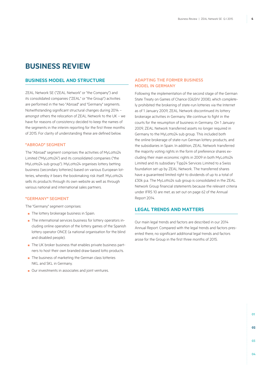# **Business Review**

### **Business Model and Structure**

ZEAL Network SE ("ZEAL Network" or "the Company") and its consolidated companies ("ZEAL" or "the Group") activities are performed in the two "Abroad" and "Germany" segments. Notwithstanding significant structural changes during 2014 – amongst others the relocation of ZEAL Network to the UK – we have for reasons of consistency decided to keep the names of the segments in the interim reporting for the first three months of 2015. For clarity of understanding these are defined below.

### **"**Abroad**"** Segment

The "Abroad" segment comprises the activities of MyLotto24 Limited ("MyLotto24") and its consolidated companies ("the MyLotto24 sub group"). MyLotto24 organises lottery betting business (secondary lotteries) based on various European lotteries, whereby it bears the bookmaking risk itself. MyLotto24 sells its products through its own website as well as through various national and international sales partners.

### **"**Germany**"** segment

The "Germany" segment comprises:

- The lottery brokerage business in Spain.
- The international services business for lottery operators including online operation of the lottery games of the Spanish lottery operator ONCE (a national organisation for the blind and disabled people).
- The UK broker business that enables private business partners to host their own branded draw-based lotto products.
- The business of marketing the German class lotteries NKL and SKL in Germany.
- Our investments in associates and joint ventures.

### Adapting the former business model in Germany

Following the implementation of the second stage of the German State Treaty on Games of Chance (GlüStV 2008), which completely prohibited the brokering of state-run lotteries via the Internet as of 1 January 2009, ZEAL Network discontinued its lottery brokerage activities in Germany. We continue to fight in the courts for the resumption of business in Germany. On 1 January 2009, ZEAL Network transferred assets no longer required in Germany to the MyLotto24 sub group. This included both the online brokerage of state-run German lottery products, and the subsidiaries in Spain. In addition, ZEAL Network transferred the majority voting rights in the form of preference shares excluding their main economic rights in 2009 in both MyLotto24 Limited and its subsidiary Tipp24 Services Limited to a Swiss foundation set up by ZEAL Network. The transferred shares have a guaranteed limited right to dividends of up to a total of £30k p.a. The MyLotto24 sub group is consolidated in the ZEAL Network Group financial statements because the relevant criteria under IFRS 10 are met, as set out on page 62 of the Annual Report 2014.

### **Legal trends and matters**

Our main legal trends and factors are described in our 2014 Annual Report. Compared with the legal trends and factors presented there, no significant additional legal trends and factors arose for the Group in the first three months of 2015.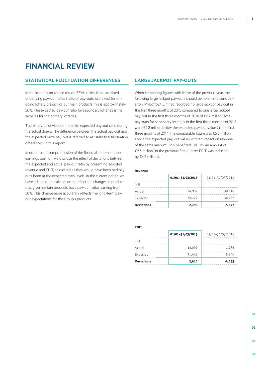# **Financial review**

### **Statistical fluctuation differences**

In the lotteries on whose results ZEAL relies, there are fixed underlying pay-out ratios (ratio of pay-outs to stakes) for ongoing lottery draws. For our main products this is approximately 50%. The expected pay-out ratio for secondary lotteries is the same as for the primary lotteries.

There may be deviations from this expected pay-out ratio during the actual draws. The difference between the actual pay-out and the expected prize pay-out is referred to as "statistical fluctuation differences" in this report.

In order to aid comprehension of the financial statements and earnings position, we disclose the effect of deviations between the expected and actual pay-out ratio by presenting adjusted revenue and EBIT, calculated as they would have been had payouts been at the expected ratio levels. In the current period, we have adjusted the calculation to reflect the changes in product mix, given certain products have pay-out ratios varying from 50%. This change more accurately reflects the long-term payout expectations for the Group's products.

### **Large jackpot pay-outs**

When comparing figures with those of the previous year, the following large jackpot pay-outs should be taken into consideration: MyLotto24 Limited recorded no large jackpot pay-out in the first three months of 2015 compared to one large jackpot pay-out in the first three months of 2014 of €6.7 million. Total pay-outs for secondary lotteries in the first three months of 2015 were €2.8 million below the expected pay-out value (in the first three months of 2014, the comparable figure was €5.6 million above the expected pay-out value) with an impact on revenue of the same amount. This benefited EBIT by an amount of €2.6 million (in the previous first quarter EBIT was reduced by €4.7 million).

#### **Revenue**

|                   | 01/01-31/03/2015 | 01/01-31/03/2014 |  |
|-------------------|------------------|------------------|--|
| in $\notin k$     |                  |                  |  |
| Actual            | 34,902           | 30,810           |  |
| Expected          | 32.112           | 36.457           |  |
| <b>Deviations</b> | 2,790            | $-5,647$         |  |

**EBIT**

|                   | 01/01-31/03/2015 | 01/01-31/03/2014 |
|-------------------|------------------|------------------|
| in $\notin k$     |                  |                  |
| Actual            | 14.097           | 1.253            |
| Expected          | 11.483           | 5.946            |
| <b>Deviations</b> | 2,614            | $-4,693$         |

**03**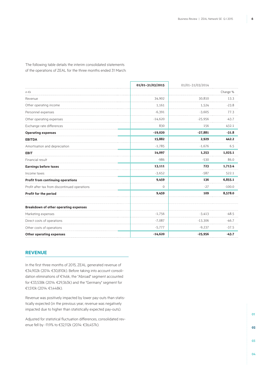The following table details the interim consolidated statements of the operations of ZEAL for the three months ended 31 March:

|                                               | 01/01-31/03/2015 | 01/01-31/03/2014 |          |
|-----------------------------------------------|------------------|------------------|----------|
| in $\epsilon$ k                               |                  |                  | Change % |
| Revenue                                       | 34,902           | 30,810           | 13.3     |
| Other operating income                        | 1,161            | 1.524            | $-23.8$  |
| Personnel expenses                            | $-6,391$         | $-3,605$         | 77.3     |
| Other operating expenses                      | $-14,620$        | $-25,956$        | $-43.7$  |
| Exchange rate differences                     | 830              | 156              | 432.1    |
| <b>Operating expenses</b>                     | $-19,020$        | $-27,881$        | $-31.8$  |
| <b>EBITDA</b>                                 | 15,882           | 2,929            | 442.2    |
| Amortisation and depreciation                 | $-1,785$         | $-1,676$         | 6.5      |
| <b>EBIT</b>                                   | 14,097           | 1,253            | 1,025.1  |
| Financial result                              | $-986$           | $-530$           | 86.0     |
| <b>Earnings before taxes</b>                  | 13,111           | 723              | 1,713.4  |
| Income taxes                                  | $-3,652$         | $-587$           | 522.1    |
| <b>Profit from continuing operations</b>      | 9,459            | 136              | 6,855.1  |
| Profit after tax from discontinued operations | $\mathbf{0}$     | $-27$            | $-100.0$ |
| Profit for the period                         | 9,459            | 109              | 8,578.0  |
| Breakdown of other operating expenses         |                  |                  |          |
| Marketing expenses                            | $-1,756$         | $-3.413$         | $-48.5$  |
| Direct costs of operations                    | $-7,087$         | $-13,306$        | $-46.7$  |
| Other costs of operations                     | $-5,777$         | $-9,237$         | $-37.5$  |
| <b>Other operating expenses</b>               | $-14,620$        | $-25,956$        | $-43.7$  |
|                                               |                  |                  |          |

# **Revenue**

In the first three months of 2015, ZEAL generated revenue of €34,902k (2014: €30,810k). Before taking into account consolidation eliminations of €146k, the "Abroad" segment accounted for €33,538k (2014: €29,363k) and the "Germany" segment for €1,510k (2014: €1,448k).

Revenue was positively impacted by lower pay-outs than statistically expected (in the previous year, revenue was negatively impacted due to higher than statistically expected pay-outs).

Adjusted for statistical fluctuation differences, consolidated revenue fell by -11.9% to €32,112k (2014: €36,457k).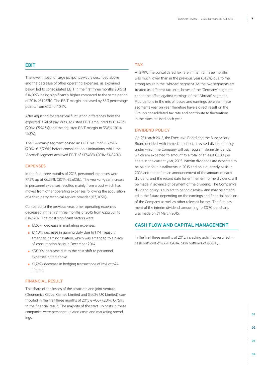### **EBIT**

The lower impact of large jackpot pay-outs described above and the decrease of other operating expenses, as explained below, led to consolidated EBIT in the first three months 2015 of €14,097k being significantly higher compared to the same period of 2014 (€1,253k). The EBIT margin increased by 36.3 percentage points, from 4.1% to 40.4%.

After adjusting for statistical fluctuation differences from the expected level of pay-outs, adjusted EBIT amounted to €11,483k (2014: €5,946k) and the adjusted EBIT margin to 35.8% (2014: 16.3%).

The "Germany" segment posted an EBIT result of €-3,390k (2014: €-3,398k) before consolidation eliminations, while the "Abroad" segment achieved EBIT of €17,488k (2014: €4,840k).

### **EXPENSES**

In the first three months of 2015, personnel expenses were 77.3% up at €6,391k (2014: €3,605k). The year-on-year increase in personnel expenses resulted mainly from a cost which has moved from other operating expenses following the acquisition of a third party technical service provider (€3,009k).

Compared to the previous year, other operating expenses decreased in the first three months of 2015 from €25,956k to €14,620k. The most significant factors were:

- €1,657k decrease in marketing expenses.
- €4,101k decrease in gaming duty due to HM Treasury amended gaming taxation, which was amended to a placeof-consumption basis in December 2014.
- €3,009k decrease due to the cost shift to personnel expenses noted above.
- €1,769k decrease in hedging transactions of MyLotto24 Limited.

### Financial result

The share of the losses of the associate and joint venture (Geonomics Global Games Limited and Geo24 UK Limited) contributed in the first three months of 2015 €-955k (2014: €-751k) to the financial result. The majority of the start-up costs in these companies were personnel related costs and marketing spendings.

### Tax

At 27.9%, the consolidated tax rate in the first three months was much lower than in the previous year (81.2%) due to the strong result in the "Abroad" segment. As the two segments are treated as different tax units, losses of the "Germany" segment cannot be offset against earnings of the "Abroad" segment. Fluctuations in the mix of losses and earnings between these segments year on year therefore have a direct result on the Group's consolidated tax rate and contribute to fluctuations in the rates realised each year.

#### Dividend Policy

On 25 March 2015, the Executive Board and the Supervisory Board decided, with immediate effect, a revised dividend policy under which the Company will pay regular interim dividends, which are expected to amount to a total of at least €2.80 per share in the current year, 2015. Interim dividends are expected to be paid in four installments in 2015 and on a quarterly basis in 2016 and thereafter: an announcement of the amount of each dividend, and the record date for entitlement to the dividend, will be made in advance of payment of the dividend. The Company's dividend policy is subject to periodic review and may be amended in the future depending on the earnings and financial position of the Company as well as other relevant factors. The first payment of the interim dividend, amounting to €0.70 per share, was made on 31 March 2015.

### **Cash flow and Capital Management**

In the first three months of 2015, investing activities resulted in cash outflows of €77k (2014: cash outflows of €687k).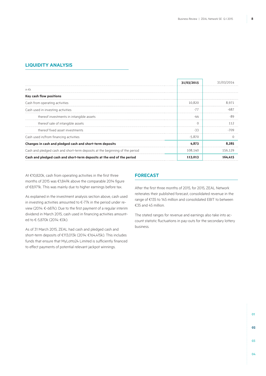## **Liquidity Analysis**

|                                                                              | 31/03/2015 | 31/03/2014 |
|------------------------------------------------------------------------------|------------|------------|
| in $\notin k$                                                                |            |            |
| Key cash flow positions                                                      |            |            |
| Cash from operating activities                                               | 10.820     | 8971       |
| Cash used in investing activities                                            | $-77$      |            |
| thereof investments in intangible assets                                     | -44        | -80        |
| thereof sale of intangible assets                                            |            |            |
| thereof fixed asset investments                                              | -33        |            |
| Cash used in/from financing activities                                       | $-5.870$   |            |
| Changes in cash and pledged cash and short-term deposits                     | 4,873      | 8.285      |
| Cash and pledged cash and short-term deposits at the beginning of the period | 108.140    | 156.129    |
| Cash and pledged cash and short-term deposits at the end of the period       | 113,013    | 164.415    |

At €10,820k, cash from operating activities in the first three months of 2015 was €1,849k above the comparable 2014 figure of €8,971k. This was mainly due to higher earnings before tax.

As explained in the investment analysis section above, cash used in investing activities amounted to €-77k in the period under review (2014: €-687k). Due to the first payment of a regular interim dividend in March 2015, cash used in financing activities amounted to €-5,870k (2014: €0k).

As of 31 March 2015, ZEAL had cash and pledged cash and short-term deposits of €113,013k (2014: €164,415k). This includes funds that ensure that MyLotto24 Limited is sufficiently financed to effect payments of potential relevant jackpot winnings.

### **Forecast**

After the first three months of 2015, for 2015, ZEAL Network reiterates their published forecast, consolidated revenue in the range of €135 to 145 million and consolidated EBIT to between €35 and 45 million.

The stated ranges for revenue and earnings also take into account statistic fluctuations in pay-outs for the secondary lottery business.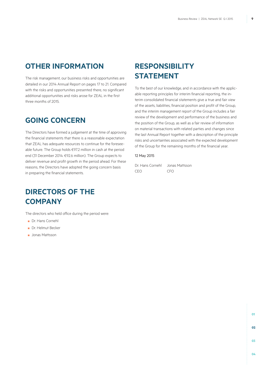# **Other Information**

The risk management, our business risks and opportunities are detailed in our 2014 Annual Report on pages 17 to 21. Compared with the risks and opportunities presented there, no significant additional opportunities and risks arose for ZEAL in the first three months of 2015.

# **Going concern**

The Directors have formed a judgement at the time of approving the financial statements that there is a reasonable expectation that ZEAL has adequate resources to continue for the foreseeable future. The Group holds €97.2 million in cash at the period end (31 December 2014: €92.6 million). The Group expects to deliver revenue and profit growth in the period ahead. For these reasons, the Directors have adopted the going concern basis in preparing the financial statements.

# **DIRECTORS OF THE Company**

The directors who held office during the period were:

- Dr. Hans Cornehl
- Dr. Helmut Becker
- Jonas Mattsson

# **Responsibility STATEMENT**

To the best of our knowledge, and in accordance with the applicable reporting principles for interim financial reporting, the interim consolidated financial statements give a true and fair view of the assets, liabilities, financial position and profit of the Group, and the interim management report of the Group includes a fair review of the development and performance of the business and the position of the Group, as well as a fair review of information on material transactions with related parties and changes since the last Annual Report together with a description of the principle risks and uncertainties associated with the expected development of the Group for the remaining months of the financial year.

### 12 May 2015

Dr. Hans Cornehl Jonas Mattsson CEO CFO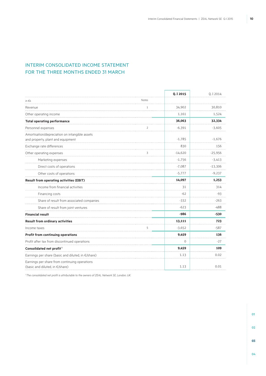# Interim Consolidated Income Statement FOR THE THREE MONTHS ENDED 31 MARCH

|                                                                                     |              | Q.I 2015    | Q.I 2014  |  |
|-------------------------------------------------------------------------------------|--------------|-------------|-----------|--|
| in $\notin k$                                                                       | Notes        |             |           |  |
| Revenue<br>.                                                                        | $\mathbf{1}$ | 34,902      | 30,810    |  |
| Other operating income                                                              |              | 1,161       | 1,524     |  |
| <b>Total operating performance</b>                                                  |              | 36,063      | 32,334    |  |
| Personnel expenses                                                                  | 2            | $-6,391$    | $-3,605$  |  |
| Amortisation/depreciation on intangible assets<br>and property, plant and equipment |              | $-1,785$    | $-1,676$  |  |
| Exchange rate differences                                                           |              | 830         | 156       |  |
| Other operating expenses                                                            | 3            | $-14,620$   | $-25,956$ |  |
| Marketing expenses                                                                  |              | $-1,756$    | $-3,413$  |  |
| Direct costs of operations                                                          |              | $-7,087$    | $-13,306$ |  |
| Other costs of operations                                                           |              | $-5,777$    | $-9,237$  |  |
| Result from operating activities (EBIT)                                             |              | 14,097      | 1,253     |  |
| Income from financial activities                                                    |              | 31          | 314       |  |
| Financing costs                                                                     |              | $-62$       | $-93$     |  |
| Share of result from associated companies                                           |              | $-332$      | $-263$    |  |
| Share of result from joint ventures                                                 |              | $-623$      | $-488$    |  |
| <b>Financial result</b>                                                             |              | $-986$      | $-530$    |  |
| Result from ordinary activities                                                     |              | 13,111      | 723       |  |
| Income taxes                                                                        | 5            | $-3,652$    | $-587$    |  |
| Profit from continuing operations                                                   |              | 9,459       | 136       |  |
| Profit after tax from discontinued operations                                       |              | $\mathbf 0$ | $-27$     |  |
| Consolidated net profit <sup>1</sup>                                                |              | 9,459       | 109       |  |
| Earnings per share (basic and diluted, in €/share)                                  |              | 1.13        | 0.02      |  |
| Earnings per share from continuing operations<br>(basic and diluted, in €/share)    |              | 1.13        | 0.01      |  |

*1 The consolidated net profit is attributable to the owners of ZEAL Network SE, London, UK.*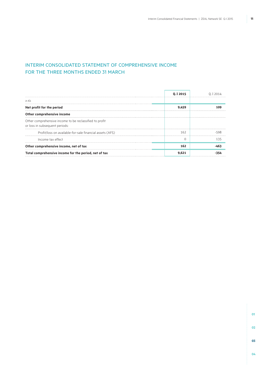# Interim Consolidated Statement of Comprehensive Income FOR THE THREE MONTHS ENDED 31 MARCH

|                                                                                           | 0.I 2015 |  |
|-------------------------------------------------------------------------------------------|----------|--|
| in $\epsilon$ k                                                                           |          |  |
| Net profit for the period                                                                 | 9.459    |  |
| Other comprehensive income                                                                |          |  |
| Other comprehensive income to be reclassified to profit<br>or loss in subsequent periods: |          |  |
| Profit/loss on available-for-sale financial assets (AFS)                                  | 162      |  |
| Income tax effect                                                                         |          |  |
| Other comprehensive income, net of tax                                                    | 162      |  |
| Total comprehensive income for the period, net of tax                                     | 9.621    |  |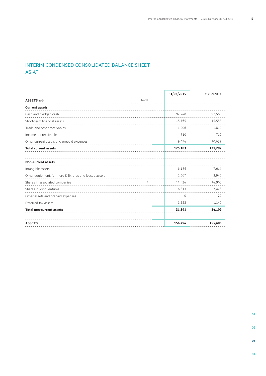# Interim Condensed Consolidated Balance Sheet AS AT

|                                                         |       | 31/03/2015 | 31/12/2014 |
|---------------------------------------------------------|-------|------------|------------|
| <b>ASSETS</b> in €k                                     | Notes |            |            |
| <b>Current assets</b>                                   |       |            |            |
| Cash and pledged cash                                   |       | 97,248     | 92,585     |
| Short-term financial assets                             |       | 15,765     | 15,555     |
| Trade and other receivables                             |       | 1,906      | 1.810      |
| Income tax receivables                                  |       | 710        | 710        |
| Other current assets and prepaid expenses               |       | 9,474      | 10,637     |
| <b>Total current assets</b>                             |       | 125,103    | 121,297    |
| <b>Non-current assets</b>                               |       |            |            |
| Intangible assets                                       |       | 6,155      | 7,614      |
| Other equipment, furniture & fixtures and leased assets |       | 2,667      | 2,942      |
| Shares in associated companies                          |       | 14,634     | 14,965     |
| Shares in joint ventures                                | 8     | 6,813      | 7,428      |
| Other assets and prepaid expenses                       |       | $\Omega$   | 20         |
| Deferred tax assets                                     |       | 1,122      | 1,140      |
| <b>Total non-current assets</b>                         |       | 31,391     | 34,109     |
| <b>ASSETS</b>                                           |       | 156,494    | 155,406    |

**01 02 03**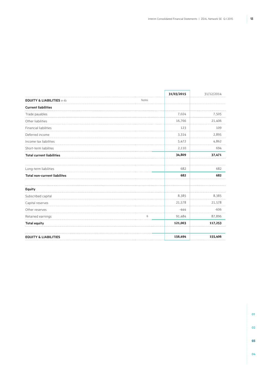|                                       |       | 31/03/2015 | 31/12/2014 |
|---------------------------------------|-------|------------|------------|
| <b>EQUITY &amp; LIABILITIES in €k</b> | Notes |            |            |
| <b>Current liabilities</b>            |       |            |            |
| Trade payables                        |       | 7,024      | 7,505      |
| Other liabilities                     |       | 16,766     | 21,406     |
| Financial liabilities                 |       | 123        | 109        |
| Deferred income                       |       | 3,314      | 2,895      |
| Income tax liabilities                |       | 5,472      | 4,862      |
| Short-term liabilites                 |       | 2,110      | 694        |
| <b>Total current liabilities</b>      |       | 34,809     | 37,471     |
| Long-term liabilities                 |       | 682        | 682        |
| <b>Total non-current liabilites</b>   |       | 682        | 682        |
| <b>Equity</b>                         |       |            |            |
| Subscribed capital                    |       | 8,385      | 8,385      |
| Capital reserves                      |       | 21,578     | 21,578     |
| Other reserves                        |       | $-444$     | $-606$     |
| Retained earnings                     | 6     | 91,484     | 87,896     |
| <b>Total equity</b>                   |       | 121,003    | 117,253    |
| <b>EQUITY &amp; LIABILITIES</b>       |       | 156,494    | 155,406    |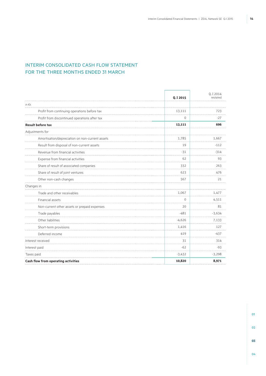# Interim Consolidated Cash Flow Statement FOR THE THREE MONTHS ENDED 31 MARCH

|                                                 | Q.I 2015 | Q.I 2014<br>restated |
|-------------------------------------------------|----------|----------------------|
| in $\epsilon$ k                                 |          |                      |
| Profit from continuing operations before tax    | 13,111   | 723                  |
| Profit from discontinued operations after tax   | 0        | $-27$                |
| <b>Result before tax</b>                        | 13,111   | 696                  |
| Adjustments for                                 |          |                      |
| Amortisation/depreciation on non-current assets | 1,785    | 1,667                |
| Result from disposal of non-current assets      | 19       | $-112$               |
| Revenue from financial activities               | $-31$    | $-314$               |
| Expense from financial activities               | 62       | 93                   |
| Share of result of associated companies         | 332      | 263                  |
| Share of result of joint ventures               | 623      | 476                  |
| Other non-cash changes                          | 567      | 21                   |
| Changes in                                      |          |                      |
| Trade and other receivables                     | 1,067    | 1,477                |
| Financial assets                                | $\Omega$ | 4,511                |
| Non-current other assets or prepaid expenses    | 20       | 81                   |
| Trade payables                                  | $-481$   | $-3,634$             |
| Other liabilities                               | $-4,626$ | 7,133                |
| Short-term provisions                           | 1,416    | 127                  |
| Deferred income                                 | 419      | $-437$               |
| Interest received                               | 31       | 314                  |
| Interest paid                                   | $-62$    | $-93$                |
| Taxes paid                                      | $-3,432$ | $-3,298$             |
| Cash flow from operating activities             | 10,820   | 8,971                |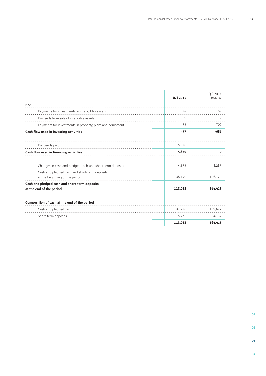J.

|                                                                                 | Q.I 2015 | 0.12014<br>restated |
|---------------------------------------------------------------------------------|----------|---------------------|
| in $\epsilon$ k                                                                 |          |                     |
| Payments for investments in intangibles assets                                  | -44      | -89                 |
| Proceeds from sale of intangible assets                                         | $\Omega$ | 112                 |
| Payments for investments in property, plant and equipment                       | $-33$    | $-709$              |
| Cash flow used in investing activities                                          | $-77$    | $-687$              |
| Dividends paid                                                                  | $-5,870$ | 0                   |
| Cash flow used in financing activities                                          | $-5,870$ | O                   |
| Changes in cash and pledged cash and short-term deposits                        | 4.873    | 8.285               |
| Cash and pledged cash and short-term deposits<br>at the beginning of the period | 108,140  | 156,129             |
| Cash and pledged cash and short-term deposits<br>at the end of the period       | 113,013  | 164,415             |
| Composition of cash at the end of the period                                    |          |                     |
| Cash and pledged cash                                                           | 97,248   | 139,677             |
| Short-term deposits                                                             | 15,765   | 24,737              |
|                                                                                 | 113,013  | 164,415             |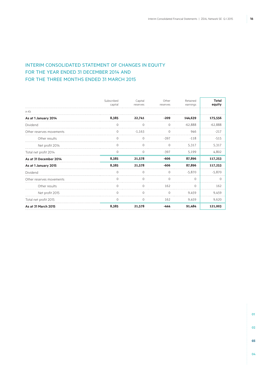# Interim Consolidated Statement of Changes in Equity FOR THE YEAR ENDED 31 DECEMBER 2014 AND FOR THE THREE MONTHS ENDED 31 MARCH 2015

|                          | Subscribed<br>capital | Capital<br>reserves | Other<br>reserves | Retained<br>earnings | <b>Total</b><br>equity |
|--------------------------|-----------------------|---------------------|-------------------|----------------------|------------------------|
| in $\epsilon$ k          |                       |                     |                   |                      |                        |
| As at 1 January 2014     | 8,385                 | 22,741              | $-209$            | 144,639              | 175,556                |
| Dividend                 | $\Omega$              | $\Omega$            | $\Omega$          | $-62.888$            | $-62.888$              |
| Other reserves movements | O                     | $-1.163$            | ∩                 | 946                  | $-217$                 |
| Other results            | $\Omega$              | Ω                   | $-397$            | $-118$               | $-515$                 |
| Net profit 2014          | $\Omega$              | 0                   | $\Omega$          | 5,317                | 5,317                  |
| Total net profit 2014    | $\Omega$              | $\Omega$            | $-397$            | 5,199                | 4.802                  |
| As at 31 December 2014   | 8,385                 | 21,578              | $-606$            | 87,896               | 117,253                |
| As at 1 January 2015     | 8,385                 | 21,578              | $-606$            | 87,896               | 117,253                |
| Dividend                 | $\Omega$              | $\Omega$            | $\cap$            | $-5.870$             | $-5.870$               |
| Other reserves movements | $\cap$                | $\cap$              | $\cap$            | $\cap$               | $\cap$                 |
| Other results            | ∩                     | Ω                   | 162               | $\Omega$             | 162                    |
| Net profit 2015          | $\Omega$              | $\Omega$            | $\Omega$          | 9.459                | 9.459                  |
| Total net profit 2015    | $\Omega$              | <sup>o</sup>        | 162               | 9.459                | 9.620                  |
| As at 31 March 2015      | 8,385                 | 21,578              | -444              | 91,484               | 121,003                |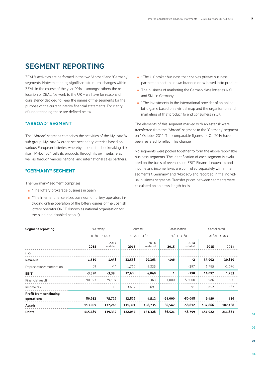# **SEGMENT REPORTING**

ZEAL's activities are performed in the two "Abroad" and "Germany" segments. Notwithstanding significant structural changes within ZEAL in the course of the year 2014 – amongst others the relocation of ZEAL Network to the UK – we have for reasons of consistency decided to keep the names of the segments for the purpose of the current interim financial statements. For clarity of understanding these are defined below.

### **"Abroad" Segment**

The "Abroad" segment comprises the activities of the MyLotto24 sub group. MyLotto24 organises secondary lotteries based on various European lotteries, whereby it bears the bookmaking risk itself. MyLotto24 sells its products through its own website as well as through various national and international sales partners.

### **"Germany" segment**

The "Germany" segment comprises:

- \*The lottery brokerage business in Spain.
- \*The international services business for lottery operators including online operation of the lottery games of the Spanish lottery operator ONCE (known as national organisation for the blind and disabled people).
- \*The UK broker business that enables private business partners to host their own branded draw-based lotto product.
- The business of marketing the German class lotteries NKL and SKL in Germany.
- <sup>\*</sup>The investments in the international provider of an online lotto game based on a virtual map and the organisation and marketing of that product to end consumers in UK.

The elements of this segment marked with an asterisk were transferred from the "Abroad" segment to the "Germany" segment on 1 October 2014. The comparable figures for Q. I 2014 have been restated to reflect this change.

No segments were pooled together to form the above reportable business segments. The identification of each segment is evaluated on the basis of revenue and EBIT. Financial expenses and income and income taxes are controlled separately within the segments ("Germany" and "Abroad") and recorded in the individual business segments. Transfer prices between segments were calculated on an arm's length basis.

|          |                  |                              |                  |                             |                  |                                  | $01/01 - 31/03$ |
|----------|------------------|------------------------------|------------------|-----------------------------|------------------|----------------------------------|-----------------|
| 2015     | 2014<br>restated | 2015                         | 2014<br>restated | 2015                        | 2014<br>restated | 2015                             | 2014            |
|          |                  |                              |                  |                             |                  |                                  |                 |
| 1,510    | 1,448            | 33,538                       | 29,363           | $-146$                      | $-2$             | 34,902                           | 30,810          |
| 69       | -44              | 1,716                        | $-1,235$         |                             | $-397$           | 1,785                            | $-1,676$        |
| $-3,390$ | $-3,398$         | 17,488                       | 4,840            |                             | $-190$           | 14,097                           | 1,253           |
| 90.023   | 79.107           | $-10$                        | 363              | $-91,000$                   | $-80,000$        | $-986$                           | $-530$          |
|          | 13               | $-3,652$                     | $-691$           |                             | 91               | $-3,652$                         | $-587$          |
| 86,633   | 75,722           | 13,826                       | 4,512            | $-91,000$                   | $-80,098$        | 9,459                            | 136             |
| 113,009  | 137,265          | 111,391                      | 108,735          | $-86,547$                   | $-58,812$        | 137,866                          | 187,188         |
| 115,489  | 139,332          | 122,054                      | 131,328          | $-86,521$                   | -58,799          | 151,022                          | 211,861         |
|          |                  | "Germany"<br>$01/01 - 31/03$ |                  | "Abroad"<br>$01/01 - 31/03$ |                  | Consolidation<br>$01/01 - 31/03$ | Consolidated    |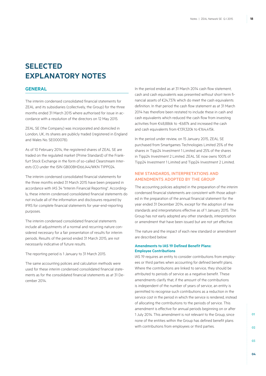# **SELECTED EXPLANATORY NOTES**

### **GENERAL**

The interim condensed consolidated financial statements for ZEAL and its subsidiaries (collectively, the Group) for the three months ended 31 March 2015 where authorised for issue in accordance with a resolution of the directors on 12 May 2015.

ZEAL SE (the Company) was incorporated and domiciled in London, UK, its shares are publicly traded (registered in England and Wales No. SE000078).

As of 10 February 2014, the registered shares of ZEAL SE are traded on the regulated market (Prime Standard) of the Frankfurt Stock Exchange in the form of so-called Clearstream Interests (CI) under the ISIN GB00BHD66J44/WKN TIPP024.

The interim condensed consolidated financial statements for the three months ended 31 March 2015 have been prepared in accordance with IAS 34 "Interim Financial Reporting". Accordingly, these interim condensed consolidated financial statements do not include all of the information and disclosures required by IFRS for complete financial statements for year-end-reporting purposes.

The interim condensed consolidated financial statements include all adjustments of a normal and recurring nature considered necessary for a fair presentation of results for interim periods. Results of the period ended 31 March 2015, are not necessarily indicative of future results.

The reporting period is 1 January to 31 March 2015.

The same accounting policies and calculation methods were used for these interim condensed consolidated financial statements as for the consolidated financial statements as at 31 December 2014.

In the period ended as at 31 March 2014 cash flow statement, cash and cash equivalents was presented without short term financial assets of €24,737k which do meet the cash equivalents definition. In that period the cash flow statement as at 31 March 2014 has therefore been restated to include these in cash and cash equivalents which reduced the cash flow from investing activities from €48,886k to -€687k and increased the cash and cash equivalents from €139,320k to €164,415k.

In the period under review, on 15 January 2015, ZEAL SE purchased from Smartgames Technologies Limited 25% of the shares in Tipp24 Investment 1 Limited and 25% of the shares in Tipp24 Investment 2 Limited. ZEAL SE now owns 100% of Tipp24 Investment 1 Limited and Tipp24 Investment 2 Limited.

### New standards, interpretations and amendments adopted by the Group

The accounting policies adopted in the preparation of the interim condensed financial statements are consistent with those adopted in the preparation of the annual financial statement for the year ended 31 December 2014, except for the adoption of new standards and interpretations effective as of 1 January 2015. The Group has not early adopted any other standards, interpretation or amendment that have been issued but are not yet effective.

The nature and the impact of each new standard or amendment are described below:

### **Amendments to IAS 19 Defined Benefit Plans: Employee Contributions**

IAS 19 requires an entity to consider contributions from employees or third parties when accounting for defined benefit plans. Where the contributions are linked to service, they should be attributed to periods of service as a negative benefit. These amendments clarify that, if the amount of the contributions is independent of the number of years of service, an entity is permitted to recognise such contributions as a reduction in the service cost in the period in which the service is rendered, instead of allocating the contributions to the periods of service. This amendment is effective for annual periods beginning on or after 1 July 2014. This amendment is not relevant to the Group, since none of the entities within the Group has defined benefit plans with contributions from employees or third parties.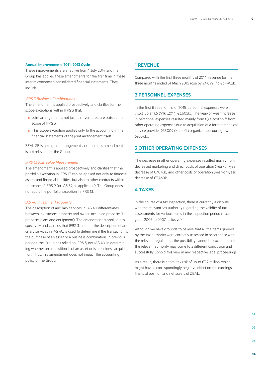### **Annual Improvements 2011–2013 Cycle**

These improvements are effective from 1 July 2014 and the Group has applied these amendments for the first time in these interim condensed consolidated financial statements. They include:

#### *IFRS 3 Business Combinations*

The amendment is applied prospectively and clarifies for the scope exceptions within IFRS 3 that:

- Joint arrangements, not just joint ventures, are outside the scope of IFRS 3.
- This scope exception applies only to the accounting in the financial statements of the joint arrangement itself.

ZEAL SE is not a joint arrangement, and thus this amendment is not relevant for the Group.

#### *IFRS 13 Fair Value Measurement*

The amendment is applied prospectively and clarifies that the portfolio exception in IFRS 13 can be applied not only to financial assets and financial liabilities, but also to other contracts within the scope of IFRS 9 (or IAS 39, as applicable). The Group does not apply the portfolio exception in IFRS 13.

### *IAS 40 Investment Property*

The description of ancillary services in IAS 40 differentiates between investment property and owner-occupied property (i.e., property, plant and equipment). The amendment is applied prospectively and clarifies that IFRS 3, and not the description of ancillary services in IAS 40, is used to determine if the transaction is the purchase of an asset or a business combination. In previous periods, the Group has relied on IFRS 3, not IAS 40, in determining whether an acquisition is of an asset or is a business acquisition. Thus, this amendment does not impact the accounting policy of the Group.

### **1 Revenue**

Compared with the first three months of 2014, revenue for the three months ended 31 Mach 2015 rose by €4,092k to €34,902k.

### **2 Personnel expenses**

In the first three months of 2015, personnel expenses were 77.3% up at €6,391k (2014: €3,605k). The year-on-year increase in personnel expenses resulted mainly from (i) a cost shift from other operating expenses due to acquisition of a former technical service provider (€3,009k) and (ii) organic headcount growth (€60.6k).

### **3 Other operating expenses**

The decrease in other operating expenses resulted mainly from decreased marketing and direct costs of operation (year-on-year decrease of €7,876k) and other costs of operation (year-on-year decrease of €3,460k).

# **4 Taxes**

In the course of a tax inspection, there is currently a dispute with the relevant tax authority regarding the validity of tax assessments for various items in the inspection period (fiscal years 2005 to 2007 inclusive).

Although we have grounds to believe that all the items queried by the tax authority were correctly assessed in accordance with the relevant regulations, the possibility cannot be excluded that the relevant authority may come to a different conclusion and successfully uphold this view in any respective legal proceedings.

As a result, there is a total tax risk of up to €3.2 million, which might have a correspondingly negative effect on the earnings, financial position and net assets of ZEAL.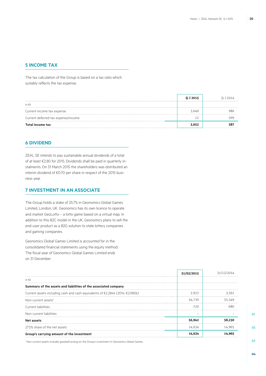### **5 Income tax**

The tax calculation of the Group is based on a tax ratio which suitably reflects the tax expense.

|                                     | 0.I 2015 | 0.I 2014 |
|-------------------------------------|----------|----------|
| in $\epsilon$ k                     |          |          |
| Current income tax expense          | 3.640    |          |
| Current deferred tax expense/income |          |          |
| <b>Total income tax</b>             | 3.652    |          |

### **6 DIVIDEND**

ZEAL SE intends to pay sustainable annual dividends of a total of at least €2.80 for 2015. Dividends shall be paid in quarterly instalments. On 31 March 2015 the shareholders was distributed an interim dividend of €0.70 per share in respect of the 2015 business year.

### **7 Investment in an associate**

The Group holds a stake of 25.7% in Geonomics Global Games Limited, London, UK. Geonomics has its own licence to operate and market GeoLotto – a lotto game based on a virtual map. In addition to this B2C model in the UK, Geonomics plans to sell the end-user product as a B2G solution to state lottery companies and gaming companies.

Geonomics Global Games Limited is accounted for in the consolidated financial statements using the equity method. The fiscal year of Geonomics Global Games Limited ends on 31 December.

|                                                                               | 31/03/2015 |        |
|-------------------------------------------------------------------------------|------------|--------|
| in $\epsilon$ k                                                               |            |        |
| Summary of the assets and liabilities of the associated company               |            |        |
| Current assets including cash and cash equivalents of €2,284k (2014: €2,980k) | 2,923      | 3.561  |
| Non-current assets <sup>1</sup>                                               | 54,739     | 55.349 |
| Current liabilities                                                           | $-720$     |        |
| Non-current liabilities                                                       |            |        |
| Net assets                                                                    | 56,942     | 58,230 |
| 27.5% share of the net assets                                                 | 14.634     | 14.965 |
| Group's carrying amount of the investment                                     | 14,634     |        |

*1 Non-current assets includes goodwill arising on the Group's investment in Geonomics Global Games.*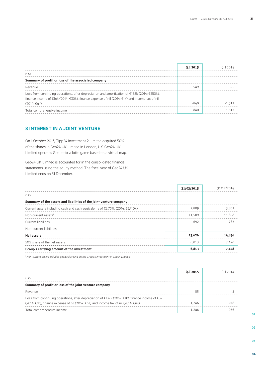|                                                                                                                                                                                                                   | 0.12015 |  |
|-------------------------------------------------------------------------------------------------------------------------------------------------------------------------------------------------------------------|---------|--|
| in €k                                                                                                                                                                                                             |         |  |
| Summary of profit or loss of the associated company                                                                                                                                                               |         |  |
| Revenue                                                                                                                                                                                                           | 549     |  |
| Loss from continuing operations, after depreciation and amortisation of $\epsilon$ 188k (2014: $\epsilon$ 350k),<br>finance income of €16k (2014: €30k), finance expense of nil (2014: €1k) and income tax of nil |         |  |
| $(2014; \in$ nil)                                                                                                                                                                                                 |         |  |
| Total comprehensive income                                                                                                                                                                                        |         |  |

# **8 Interest in a joint venture**

On 1 October 2013, Tipp24 Investment 2 Limited acquired 50% of the shares in Geo24 UK Limited in London, UK. Geo24 UK Limited operates GeoLotto, a lotto game based on a virtual map.

Geo24 UK Limited is accounted for in the consolidated financial statements using the equity method. The fiscal year of Geo24 UK Limited ends on 31 December.

|                                                                                                   | 31/03/2015 |            |
|---------------------------------------------------------------------------------------------------|------------|------------|
| in $\epsilon$ k                                                                                   |            | . <b>.</b> |
| Summary of the assets and liabilities of the joint venture company                                |            |            |
| Current assets including cash and cash equivalents of $\epsilon$ 2,769k (2014: $\epsilon$ 3,710k) | 2.809      | 3.802      |
| Non-current assets <sup>1</sup>                                                                   | 11.509     | 11.838     |
| Current liabilities                                                                               | -692       |            |
| Non-current liabilities                                                                           |            |            |
| Net assets                                                                                        | 13.626     |            |
| 50% share of the net assets                                                                       | 6.813      | 7.428      |
| Group's carrying amount of the investment                                                         | 6.813      |            |

*1 Non-current assets includes goodwill arising on the Group's investment in Geo24 Limited.*

|                                                                                                 | 0. I 2015 |  |
|-------------------------------------------------------------------------------------------------|-----------|--|
| in $\notin k$                                                                                   |           |  |
| Summary of profit or loss of the joint venture company                                          |           |  |
| Revenue                                                                                         |           |  |
| Loss from continuing operations, after depreciation of €132k (2014: €1k), finance income of €3k |           |  |
| (2014: €1k), finance expense of nil (2014: €nil) and income tax of nil (2014: €nil)             | -246      |  |
| Total comprehensive income                                                                      | -1 246    |  |

**01 02**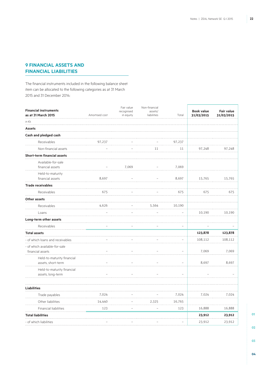# **9 Financial assets and financial liabilities**

The financial instruments included in the following balance sheet item can be allocated to the following categories as at 31 March 2015 and 31 December 2014:

| <b>Financial instruments</b>       |                | Fair value              | Non-financial          |                   | <b>Book value</b> | <b>Fair value</b> |
|------------------------------------|----------------|-------------------------|------------------------|-------------------|-------------------|-------------------|
| as at 31 March 2015                | Amortised cost | recognised<br>in equity | assets/<br>liabilities | Total             | 31/03/2015        | 31/03/2015        |
| in $\epsilon$ k                    |                |                         |                        |                   |                   |                   |
| <b>Assets</b>                      |                |                         |                        |                   |                   |                   |
| Cash and pledged cash              |                |                         |                        |                   |                   |                   |
| Receivables                        | 97,237         |                         |                        | 97,237            |                   |                   |
| Non-financial assets               |                |                         | 11                     | 11                | 97,248            | 97,248            |
| <b>Short-term financial assets</b> |                |                         |                        |                   |                   |                   |
| Available-for-sale                 |                |                         |                        |                   |                   |                   |
| financial assets                   |                | 7,069                   |                        | 7,069             |                   |                   |
| Held-to-maturity                   |                |                         |                        |                   |                   |                   |
| financial assets                   | 8,697          |                         |                        | 8,697             | 15,765            | 15,765            |
| <b>Trade receivables</b>           |                |                         |                        |                   |                   |                   |
| Receivables                        | 675            |                         |                        | 675               | 675               | 675               |
| Other assets                       |                |                         |                        |                   |                   |                   |
| Receivables                        | 4,626          |                         | 5,564                  | 10,190            |                   |                   |
| Loans                              |                |                         |                        |                   | 10,190            | 10,190            |
| Long-term other assets             |                |                         |                        |                   |                   |                   |
| Receivables                        |                |                         |                        |                   |                   |                   |
| <b>Total assets</b>                |                |                         |                        |                   | 123,878           | 123,878           |
| - of which loans and receivables   |                |                         |                        |                   | 108,112           | 108,112           |
| - of which available-for-sale      |                |                         |                        |                   |                   |                   |
| financial assets                   |                |                         |                        |                   | 7,069             | 7,069             |
| Held-to-maturity financial         |                |                         |                        |                   |                   |                   |
| assets, short-term                 |                |                         |                        |                   | 8,697             | 8,697             |
| Held-to-maturity financial         |                |                         |                        |                   |                   |                   |
| assets, long-term                  |                |                         |                        |                   |                   |                   |
| <b>Liabilities</b>                 |                |                         |                        |                   |                   |                   |
| Trade payables                     | 7,024          |                         |                        | 7,024             | 7,024             | 7,024             |
| Other liabilities                  | 14,440         |                         | 2,325                  | 16,765            |                   |                   |
| <b>Financial liabilities</b>       | 123            |                         |                        | 123               | 16,888            | 16,888            |
| <b>Total liabilities</b>           |                |                         |                        |                   | 23,912            | 23,912            |
| - of which liabilities             |                |                         |                        | $\qquad \qquad -$ | 23,912            | 23,912            |

**03**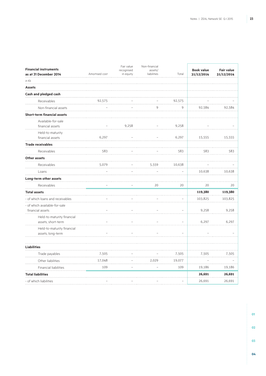| <b>Financial instruments</b><br>as at 31 December 2014 | Amortised cost | Fair value<br>recognised<br>in equity | Non-financial<br>assets/<br>liabilities | Total             | <b>Book value</b><br>31/12/2014 | <b>Fair value</b><br>31/12/2014 |
|--------------------------------------------------------|----------------|---------------------------------------|-----------------------------------------|-------------------|---------------------------------|---------------------------------|
| in $\epsilon$ k                                        |                |                                       |                                         |                   |                                 |                                 |
| <b>Assets</b>                                          |                |                                       |                                         |                   |                                 |                                 |
| Cash and pledged cash                                  |                |                                       |                                         |                   |                                 |                                 |
| Receivables                                            | 92,575         |                                       |                                         | 92,575            |                                 |                                 |
| Non-financial assets                                   |                |                                       | 9                                       | 9                 | 92,584                          | 92,584                          |
| <b>Short-term financial assets</b>                     |                |                                       |                                         |                   |                                 |                                 |
| Available-for-sale<br>financial assets                 |                | 9,258                                 |                                         | 9,258             |                                 |                                 |
| Held-to-maturity<br>financial assets                   | 6,297          |                                       |                                         | 6,297             | 15,555                          | 15,555                          |
| <b>Trade receivables</b>                               |                |                                       |                                         |                   |                                 |                                 |
| Receivables                                            | 583            |                                       |                                         | 583               | 583                             | 583                             |
| Other assets                                           |                |                                       |                                         |                   |                                 |                                 |
| Receivables                                            | 5,079          |                                       | 5,559                                   | 10,638            |                                 |                                 |
| Loans                                                  |                |                                       |                                         |                   | 10,638                          | 10,638                          |
| Long-term other assets                                 |                |                                       |                                         |                   |                                 |                                 |
| Receivables                                            |                |                                       | 20                                      | 20                | 20                              | 20                              |
| <b>Total assets</b>                                    |                |                                       |                                         |                   | 119,380                         | 119,380                         |
| - of which loans and receivables                       |                |                                       |                                         |                   | 103,825                         | 103,825                         |
| - of which available-for-sale<br>financial assets      |                |                                       |                                         |                   | 9,258                           | 9,258                           |
| Held-to-maturity financial<br>assets, short-term       |                |                                       |                                         | ÷                 | 6,297                           | 6,297                           |
| Held-to-maturity financial<br>assets, long-term        |                |                                       |                                         |                   |                                 |                                 |
| <b>Liabilities</b>                                     |                |                                       |                                         |                   |                                 |                                 |
| Trade payables                                         | 7,505          |                                       |                                         | 7,505             | 7,505                           | 7,505                           |
| Other liabilities                                      | 17,048         |                                       | 2,029                                   | 19,077            |                                 |                                 |
| Financial liabilities                                  | 109            |                                       | $\overline{\phantom{0}}$                | 109               | 19,186                          | 19,186                          |
| <b>Total liabilities</b>                               |                |                                       |                                         |                   | 26,691                          | 26,691                          |
| - of which liabilities                                 |                | $\overline{\phantom{m}}$              | $\overline{\phantom{m}}$                | $\qquad \qquad -$ | 26,691                          | 26,691                          |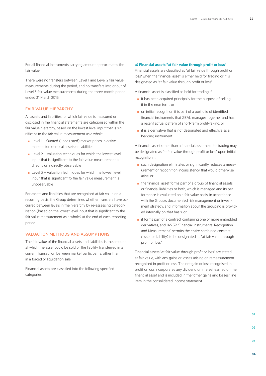For all financial instruments carrying amount approximates the fair value.

There were no transfers between Level 1 and Level 2 fair value measurements during the period, and no transfers into or out of Level 3 fair value measurements during the three-month period ended 31 March 2015.

### Fair value hierarchy

All assets and liabilities for which fair value is measured or disclosed in the financial statements are categorised within the fair value hierarchy, based on the lowest level input that is significant to the fair value measurement as a whole:

- Level 1 Quoted (unadjusted) market prices in active markets for identical assets or liabilities
- Level 2 Valuation techniques for which the lowest level input that is significant to the fair value measurement is directly or indirectly observable
- $\blacksquare$  Level 3 Valuation techniques for which the lowest level input that is significant to the fair value measurement is unobservable

For assets and liabilities that are recognised at fair value on a recurring basis, the Group determines whether transfers have occurred between levels in the hierarchy by re-assessing categorisation (based on the lowest level input that is significant to the fair value measurement as a whole) at the end of each reporting period.

#### Valuation methods and assumptions

The fair value of the financial assets and liabilities is the amount at which the asset could be sold or the liability transferred in a current transaction between market participants, other than in a forced or liquidation sale.

Financial assets are classified into the following specified categories:

#### **a) Financial assets "at fair value through profit or loss"**

Financial assets are classified as "at fair value through profit or loss" when the financial asset is either held for trading or it is designated as "at fair value through profit or loss".

A financial asset is classified as held for trading if:

- it has been acquired principally for the purpose of selling it in the near term, or
- on initial recognition it is part of a portfolio of identified financial instruments that ZEAL manages together and has a recent actual pattern of short-term profit-taking, or
- it is a derivative that is not designated and effective as a hedging instrument.

A financial asset other than a financial asset held for trading may be designated as "at fair value through profit or loss" upon initial recognition if:

- such designation eliminates or significantly reduces a measurement or recognition inconsistency that would otherwise arise, or
- the financial asset forms part of a group of financial assets or financial liabilities or both, which is managed and its performance is evaluated on a fair value basis, in accordance with the Group's documented risk management or investment strategy, and information about the grouping is provided internally on that basis, or
- it forms part of a contract containing one or more embedded derivatives, and IAS 39 "Financial Instruments: Recognition and Measurement" permits the entire combined contract (asset or liability) to be designated as "at fair value through profit or loss".

Financial assets "at fair value through profit or loss" are stated at fair value, with any gains or losses arising on remeasurement recognised in profit or loss. The net gain or loss recognised in profit or loss incorporates any dividend or interest earned on the financial asset and is included in the "other gains and losses" line item in the consolidated income statement.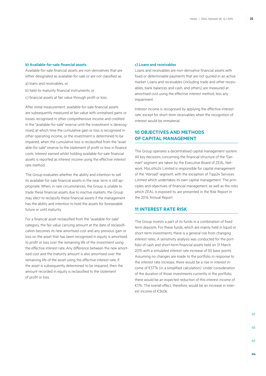### **b) Available-for-sale financial assets**

Available-for-sale financial assets are non-derivatives that are either designated as available-for-sale or are not classified as

- a) loans and receivables, or
- b) held-to-maturity financial instruments, or
- c) financial assets at fair value through profit or loss.

After initial measurement, available-for-sale financial assets are subsequently measured at fair value with unrealised gains or losses recognised in other comprehensive income and credited in the "available-for-sale" reserve until the investment is derecognised, at which time the cumulative gain or loss is recognised in other operating income, or the investment is determined to be impaired, when the cumulative loss is reclassified from the "available-for-sale" reserve to the statement of profit or loss in finance costs. Interest earned whilst holding available-for-sale financial assets is reported as interest income using the effective interest rate method.

The Group evaluates whether the ability and intention to sell its available-for-sale financial assets in the near term is still appropriate. When, in rare circumstances, the Group is unable to trade these financial assets due to inactive markets, the Group may elect to reclassify these financial assets if the management has the ability and intention to hold the assets for foreseeable future or until maturity.

For a financial asset reclassified from the "available-for-sale" category, the fair value carrying amount at the date of reclassification becomes its new amortised cost and any previous gain or loss on the asset that has been recognised in equity is amortised to profit or loss over the remaining life of the investment using the effective interest rate. Any difference between the new amortised cost and the maturity amount is also amortised over the remaining life of the asset using the effective interest rate. If the asset is subsequently determined to be impaired, then the amount recorded in equity is reclassified to the statement of profit or loss.

### **c) Loans and receivables**

Loans and receivables are non-derivative financial assets with fixed or determinable payments that are not quoted in an active market. Loans and receivables (including trade and other receivables, bank balances and cash, and others) are measured at amortised cost using the effective interest method, less any impairment.

Interest income is recognised by applying the effective interest rate, except for short-term receivables when the recognition of interest would be immaterial.

# **10 Objectives and methods of capital management**

The Group operates a decentralised capital management system. All key decisions concerning the financial structure of the "German" segment are taken by the Executive Board of ZEAL Network. MyLotto24 Limited is responsible for capital management of the "Abroad" segment, with the exception of Tipp24 Services Limited which undertakes its own capital management. The principles and objectives of financial management, as well as the risks which ZEAL is exposed to, are presented in the Risk Report in the 2014 Annual Report.

### **11 Interest rate risk**

The Group invests a part of its funds in a combination of fixed term deposits. For these funds, which are mainly held in liquid or short-term investments, there is a general risk from changing interest rates. A sensitivity analysis was conducted for the portfolio of cash and short-term financial assets held on 31 March 2015 with a simulated interest rate increase of 50 base points. Assuming no changes are made to the portfolio in response to the interest rate increase, there would be a rise in interest income of €377k (in a simplified calculation). Under consideration of the duration of those investments currently in the portfolio, there would be an expected reduction of this interest income of €17k. The overall effect, therefore, would be an increase in interest income of €360k.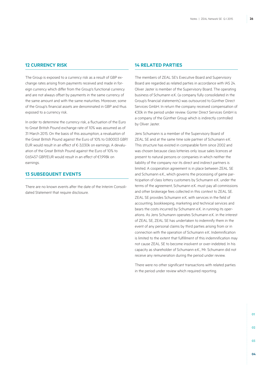### **12 Currency risk**

The Group is exposed to a currency risk as a result of GBP exchange rates arising from payments received and made in foreign currency which differ from the Group's functional currency and are not always offset by payments in the same currency of the same amount and with the same maturities. Moreover, some of the Group's financial assets are denominated in GBP and thus exposed to a currency risk.

In order to determine the currency risk, a fluctuation of the Euro to Great British Pound exchange rate of 10% was assumed as of 31 March 2015. On the basis of this assumption, a revaluation of the Great British Pound against the Euro of 10% to 0.80003 GBP/ EUR would result in an effect of €-3,030k on earnings. A devaluation of the Great British Pound against the Euro of 10% to 0.65457 GBP/EUR would result in an effect of €1,998k on earnings.

### **13 Subsequent events**

There are no known events after the date of the Interim Consolidated Statement that require disclosure.

### **14 Related parties**

The members of ZEAL SE's Executive Board and Supervisory Board are regarded as related parties in accordance with IAS 24. Oliver Jaster is member of the Supervisory Board. The operating business of Schumann e.K. (a company fully consolidated in the Group's financial statements) was outsourced to Günther Direct Services GmbH. In return the company received compensation of €30k in the period under review. Günter Direct Services GmbH is a company of the Günther Group which is indirectly controlled by Oliver Jaster.

Jens Schumann is a member of the Supervisory Board of ZEAL SE and at the same time sole partner of Schumann e.K. This structure has existed in comparable form since 2002 and was chosen because class lotteries only issue sales licences at present to natural persons or companies in which neither the liability of the company nor its direct and indirect partners is limited. A cooperation agreement is in place between ZEAL SE and Schumann e.K., which governs the processing of game participation of class lottery customers by Schumann e.K. under the terms of the agreement, Schumann e.K. must pay all commissions and other brokerage fees collected in this context to ZEAL SE. ZEAL SE provides Schumann e.K. with services in the field of accounting, bookkeeping, marketing and technical services and bears the costs incurred by Schumann e.K. in running its operations. As Jens Schumann operates Schumann e.K. in the interest of ZEAL SE, ZEAL SE has undertaken to indemnify them in the event of any personal claims by third parties arising from or in connection with the operation of Schumann e.K. Indemnification is limited to the extent that fulfillment of this indemnification may not cause ZEAL SE to become insolvent or over-indebted. In his capacity as shareholder of Schumann e.K., Mr. Schumann did not receive any remuneration during the period under review.

There were no other significant transactions with related parties in the period under review which required reporting.

**01** 02 **03**